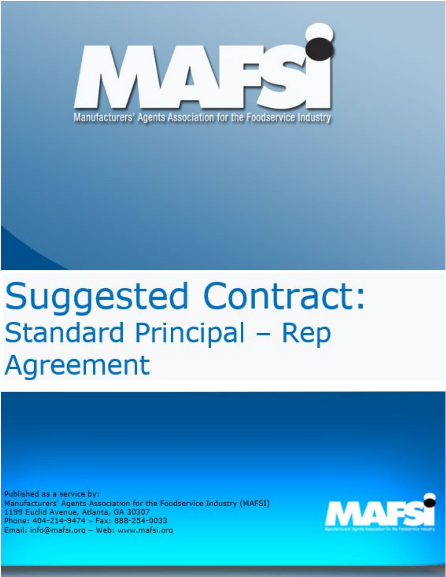

## **Suggested Contract: Standard Principal - Rep** Agreement

Published as a service by: Manufacturers' Agents Association for the Foodservice Industry (MAFSI) 1199 Euclid Avenue, Atlanta, GA 30307 Phone: 404-214-9474 - Fax: 888-254-0033 Email: info@mafsi.org - Web: www.mafsi.org

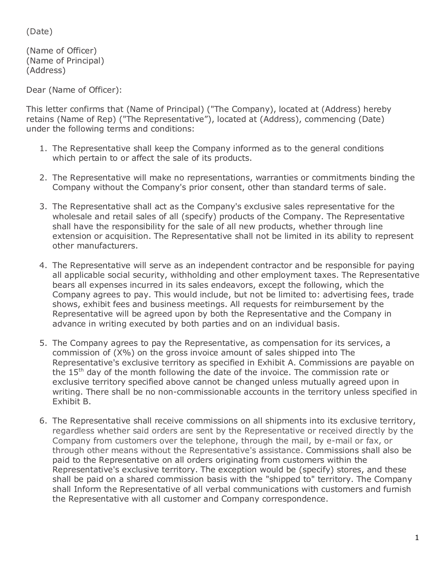(Date)

(Name of Officer) (Name of Principal) (Address)

Dear (Name of Officer):

This letter confirms that (Name of Principal) ("The Company), located at (Address) hereby retains (Name of Rep) ("The Representative"), located at (Address), commencing (Date) under the following terms and conditions:

- 1. The Representative shall keep the Company informed as to the general conditions which pertain to or affect the sale of its products.
- 2. The Representative will make no representations, warranties or commitments binding the Company without the Company's prior consent, other than standard terms of sale.
- 3. The Representative shall act as the Company's exclusive sales representative for the wholesale and retail sales of all (specify) products of the Company. The Representative shall have the responsibility for the sale of all new products, whether through line extension or acquisition. The Representative shall not be limited in its ability to represent other manufacturers.
- 4. The Representative will serve as an independent contractor and be responsible for paying all applicable social security, withholding and other employment taxes. The Representative bears all expenses incurred in its sales endeavors, except the following, which the Company agrees to pay. This would include, but not be limited to: advertising fees, trade shows, exhibit fees and business meetings. All requests for reimbursement by the Representative will be agreed upon by both the Representative and the Company in advance in writing executed by both parties and on an individual basis.
- 5. The Company agrees to pay the Representative, as compensation for its services, a commission of (X%) on the gross invoice amount of sales shipped into The Representative's exclusive territory as specified in Exhibit A. Commissions are payable on the 15th day of the month following the date of the invoice. The commission rate or exclusive territory specified above cannot be changed unless mutually agreed upon in writing. There shall be no non-commissionable accounts in the territory unless specified in Exhibit B.
- 6. The Representative shall receive commissions on all shipments into its exclusive territory, regardless whether said orders are sent by the Representative or received directly by the Company from customers over the telephone, through the mail, by e-mail or fax, or through other means without the Representative's assistance. Commissions shall also be paid to the Representative on all orders originating from customers within the Representative's exclusive territory. The exception would be (specify) stores, and these shall be paid on a shared commission basis with the "shipped to" territory. The Company shall Inform the Representative of all verbal communications with customers and furnish the Representative with all customer and Company correspondence.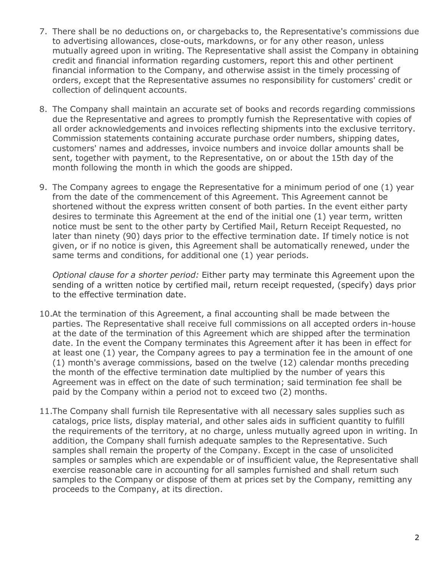- 7. There shall be no deductions on, or chargebacks to, the Representative's commissions due to advertising allowances, close-outs, markdowns, or for any other reason, unless mutually agreed upon in writing. The Representative shall assist the Company in obtaining credit and financial information regarding customers, report this and other pertinent financial information to the Company, and otherwise assist in the timely processing of orders, except that the Representative assumes no responsibility for customers' credit or collection of delinquent accounts.
- 8. The Company shall maintain an accurate set of books and records regarding commissions due the Representative and agrees to promptly furnish the Representative with copies of all order acknowledgements and invoices reflecting shipments into the exclusive territory. Commission statements containing accurate purchase order numbers, shipping dates, customers' names and addresses, invoice numbers and invoice dollar amounts shall be sent, together with payment, to the Representative, on or about the 15th day of the month following the month in which the goods are shipped.
- 9. The Company agrees to engage the Representative for a minimum period of one (1) year from the date of the commencement of this Agreement. This Agreement cannot be shortened without the express written consent of both parties. In the event either party desires to terminate this Agreement at the end of the initial one (1) year term, written notice must be sent to the other party by Certified Mail, Return Receipt Requested, no later than ninety (90) days prior to the effective termination date. If timely notice is not given, or if no notice is given, this Agreement shall be automatically renewed, under the same terms and conditions, for additional one (1) year periods.

*Optional clause for a shorter period:* Either party may terminate this Agreement upon the sending of a written notice by certified mail, return receipt requested, (specify) days prior to the effective termination date.

- 10.At the termination of this Agreement, a final accounting shall be made between the parties. The Representative shall receive full commissions on all accepted orders in-house at the date of the termination of this Agreement which are shipped after the termination date. In the event the Company terminates this Agreement after it has been in effect for at least one (1) year, the Company agrees to pay a termination fee in the amount of one (1) month's average commissions, based on the twelve (12) calendar months preceding the month of the effective termination date multiplied by the number of years this Agreement was in effect on the date of such termination; said termination fee shall be paid by the Company within a period not to exceed two (2) months.
- 11.The Company shall furnish tile Representative with all necessary sales supplies such as catalogs, price lists, display material, and other sales aids in sufficient quantity to fulfill the requirements of the territory, at no charge, unless mutually agreed upon in writing. In addition, the Company shall furnish adequate samples to the Representative. Such samples shall remain the property of the Company. Except in the case of unsolicited samples or samples which are expendable or of insufficient value, the Representative shall exercise reasonable care in accounting for all samples furnished and shall return such samples to the Company or dispose of them at prices set by the Company, remitting any proceeds to the Company, at its direction.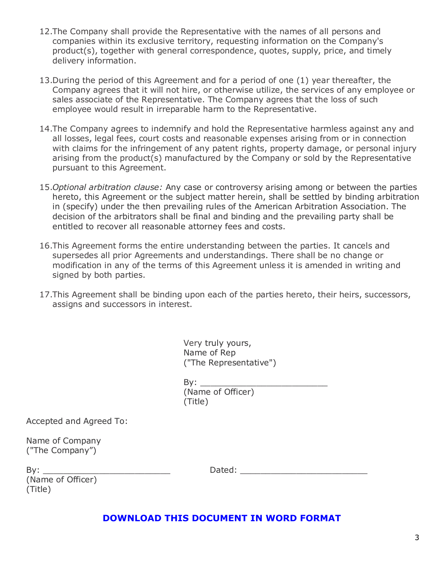- 12.The Company shall provide the Representative with the names of all persons and companies within its exclusive territory, requesting information on the Company's product(s), together with general correspondence, quotes, supply, price, and timely delivery information.
- 13.During the period of this Agreement and for a period of one (1) year thereafter, the Company agrees that it will not hire, or otherwise utilize, the services of any employee or sales associate of the Representative. The Company agrees that the loss of such employee would result in irreparable harm to the Representative.
- 14.The Company agrees to indemnify and hold the Representative harmless against any and all losses, legal fees, court costs and reasonable expenses arising from or in connection with claims for the infringement of any patent rights, property damage, or personal injury arising from the product(s) manufactured by the Company or sold by the Representative pursuant to this Agreement.
- 15.*Optional arbitration clause:* Any case or controversy arising among or between the parties hereto, this Agreement or the subject matter herein, shall be settled by binding arbitration in (specify) under the then prevailing rules of the American Arbitration Association. The decision of the arbitrators shall be final and binding and the prevailing party shall be entitled to recover all reasonable attorney fees and costs.
- 16.This Agreement forms the entire understanding between the parties. It cancels and supersedes all prior Agreements and understandings. There shall be no change or modification in any of the terms of this Agreement unless it is amended in writing and signed by both parties.
- 17.This Agreement shall be binding upon each of the parties hereto, their heirs, successors, assigns and successors in interest.

| Very truly yours,      |
|------------------------|
| Name of Rep            |
| ("The Representative") |

| By:               |  |
|-------------------|--|
| (Name of Officer) |  |
| (Title)           |  |

Accepted and Agreed To:

Name of Company ("The Company")

(Name of Officer) (Title)

By: \_\_\_\_\_\_\_\_\_\_\_\_\_\_\_\_\_\_\_\_\_\_\_\_\_ Dated: \_\_\_\_\_\_\_\_\_\_\_\_\_\_\_\_\_\_\_\_\_\_\_\_\_

## **[DOWNLOAD THIS DOCUMENT IN WORD FORMAT](https://f.hubspotusercontent20.net/hubfs/5637026/Best%20Practices%20Webpage/Best%20Practices%20Documents/Contracts/2021%20Version%20-%20New%20MAFSI%20Standard%20Principal%20-%20Rep%20Agreement%20.docx)**